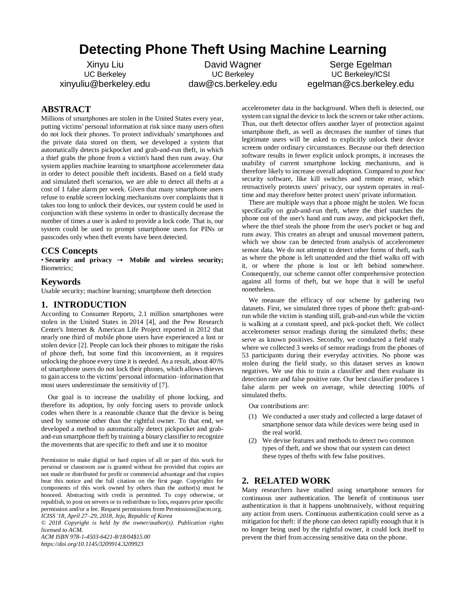# **Detecting Phone Theft Using Machine Learning**

Xinyu Liu UC Berkeley xinyuliu@berkeley.edu

David Wagner UC Berkeley daw@cs.berkeley.edu

Serge Egelman UC Berkeley/ICSI egelman@cs.berkeley.edu

# **ABSTRACT**

Millions of smartphones are stolen in the United States every year, putting victims' personal information at risk since many users often do not lock their phones. To protect individuals' smartphones and the private data stored on them, we developed a system that automatically detects pickpocket and grab-and-run theft, in which a thief grabs the phone from a victim's hand then runs away. Our system applies machine learning to smartphone accelerometer data in order to detect possible theft incidents. Based on a field study and simulated theft scenarios, we are able to detect all thefts at a cost of 1 false alarm per week. Given that many smartphone users refuse to enable screen locking mechanisms over complaints that it takes too long to unlock their devices, our system could be used in conjunction with these systems in order to drastically decrease the number of times a user is asked to provide a lock code. That is, our system could be used to prompt smartphone users for PINs or passcodes only when theft events have been detected.

#### **CCS Concepts**

• Security and privacy  $\rightarrow$  Mobile and wireless security; Biometrics;

# **Keywords**

Usable security; machine learning; smartphone theft detection

# **1. INTRODUCTION**

According to Consumer Reports, 2.1 million smartphones were stolen in the United States in 2014 [4], and the Pew Research Center's Internet & American Life Project reported in 2012 that nearly one third of mobile phone users have experienced a lost or stolen device [2]. People can lock their phones to mitigate the risks of phone theft, but some find this inconvenient, as it requires unlocking the phone every time it is needed. As a result, about 40\% of smartphone users do not lock their phones, which allows thieves to gain access to the victims' personal information–information that most users underestimate the sensitivity of [7].

 Our goal is to increase the usability of phone locking, and therefore its adoption, by only forcing users to provide unlock codes when there is a reasonable chance that the device is being used by someone other than the rightful owner. To that end, we developed a method to automatically detect pickpocket and graband-run smartphone theft by training a binary classifier to recognize the movements that are specific to theft and use it to monitor

Permission to make digital or hard copies of all or part of this work for personal or classroom use is granted without fee provided that copies are not made or distributed for profit or commercial advantage and that copies bear this notice and the full citation on the first page. Copyrights for components of this work owned by others than the author(s) must be honored. Abstracting with credit is permitted. To copy otherwise, or republish, to post on servers or to redistribute to lists, requires prior specific permission and/or a fee. Request permissions from Permissions@acm.org. *ICISS '18, April 27–29, 2018, Jeju, Republic of Korea* 

*© 2018 Copyright is held by the owner/author(s). Publication rights licensed to ACM.*

*ACM ISBN 978-1-4503-6421-8/18/04\$15.00 https://doi.org/10.1145/3209914.3209923*

accelerometer data in the background. When theft is detected, our system can signal the device to lock the screen or take other actions. Thus, our theft detector offers another layer of protection against smartphone theft, as well as decreases the number of times that legitimate users will be asked to explicitly unlock their device screens under ordinary circumstances. Because our theft detection software results in fewer explicit unlock prompts, it increases the usability of current smartphone locking mechanisms, and is therefore likely to increase overall adoption. Compared to *post hoc* security software, like kill switches and remote erase, which retroactively protects users' privacy, our system operates in realtime and may therefore better protect users' private information.

 There are multiple ways that a phone might be stolen. We focus specifically on grab-and-run theft, where the thief snatches the phone out of the user's hand and runs away, and pickpocket theft, where the thief steals the phone from the user's pocket or bag and runs away. This creates an abrupt and unusual movement pattern, which we show can be detected from analysis of accelerometer sensor data. We do not attempt to detect other forms of theft, such as where the phone is left unattended and the thief walks off with it, or where the phone is lost or left behind somewhere. Consequently, our scheme cannot offer comprehensive protection against all forms of theft, but we hope that it will be useful nonetheless.

 We measure the efficacy of our scheme by gathering two datasets. First, we simulated three types of phone theft: grab-andrun while the victim is standing still, grab-and-run while the victim is walking at a constant speed, and pick-pocket theft. We collect accelerometer sensor readings during the simulated thefts; these serve as known positives. Secondly, we conducted a field study where we collected 3 weeks of sensor readings from the phones of 53 participants during their everyday activities. No phone was stolen during the field study, so this dataset serves as known negatives. We use this to train a classifier and then evaluate its detection rate and false positive rate. Our best classifier produces 1 false alarm per week on average, while detecting 100% of simulated thefts.

Our contributions are:

- (1) We conducted a user study and collected a large dataset of smartphone sensor data while devices were being used in the real world.
- (2) We devise features and methods to detect two common types of theft, and we show that our system can detect these types of thefts with few false positives.

# **2. RELATED WORK**

Many researchers have studied using smartphone sensors for continuous user authentication. The benefit of continuous user authentication is that it happens unobtrusively, without requiring any action from users. Continuous authentication could serve as a mitigation for theft: if the phone can detect rapidly enough that it is no longer being used by the rightful owner, it could lock itself to prevent the thief from accessing sensitive data on the phone.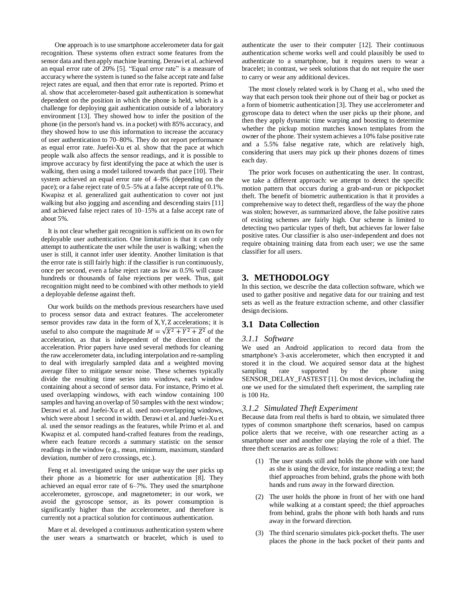One approach is to use smartphone accelerometer data for gait recognition. These systems often extract some features from the sensor data and then apply machine learning. Derawi et al. achieved an equal error rate of 20% [5]. "Equal error rate" is a measure of accuracy where the system is tuned so the false accept rate and false reject rates are equal, and then that error rate is reported. Primo et al. show that accelerometer-based gait authentication is somewhat dependent on the position in which the phone is held, which is a challenge for deploying gait authentication outside of a laboratory environment [13]. They showed how to infer the position of the phone (in the person's hand vs. in a pocket) with 85% accuracy, and they showed how to use this information to increase the accuracy of user authentication to 70–80%. They do not report performance as equal error rate. Juefei-Xu et al. show that the pace at which people walk also affects the sensor readings, and it is possible to improve accuracy by first identifying the pace at which the user is walking, then using a model tailored towards that pace [10]. Their system achieved an equal error rate of 4–8% (depending on the pace); or a false reject rate of 0.5–5% at a false accept rate of 0.1%. Kwapisz et al. generalized gait authentication to cover not just walking but also jogging and ascending and descending stairs [11] and achieved false reject rates of 10–15% at a false accept rate of about 5%.

 It is not clear whether gait recognition is sufficient on its own for deployable user authentication. One limitation is that it can only attempt to authenticate the user while the user is walking; when the user is still, it cannot infer user identity. Another limitation is that the error rate is still fairly high: if the classifier is run continuously, once per second, even a false reject rate as low as 0.5% will cause hundreds or thousands of false rejections per week. Thus, gait recognition might need to be combined with other methods to yield a deployable defense against theft.

 Our work builds on the methods previous researchers have used to process sensor data and extract features. The accelerometer sensor provides raw data in the form of X, Y, Z accelerations; it is useful to also compute the magnitude  $M = \sqrt{X^2 + Y^2 + Z^2}$  of the acceleration, as that is independent of the direction of the acceleration. Prior papers have used several methods for cleaning the raw accelerometer data, including interpolation and re-sampling to deal with irregularly sampled data and a weighted moving average filter to mitigate sensor noise. These schemes typically divide the resulting time series into windows, each window containing about a second of sensor data. For instance, Primo et al. used overlapping windows, with each window containing 100 samples and having an overlap of 50 samples with the next window; Derawi et al. and Juefei-Xu et al. used non-overlapping windows, which were about 1 second in width. Derawi et al. and Juefei-Xu et al. used the sensor readings as the features, while Primo et al. and Kwapisz et al. computed hand-crafted features from the readings, where each feature records a summary statistic on the sensor readings in the window (e.g., mean, minimum, maximum, standard deviation, number of zero crossings, etc.).

 Feng et al. investigated using the unique way the user picks up their phone as a biometric for user authentication [8]. They achieved an equal error rate of 6–7%. They used the smartphone accelerometer, gyroscope, and magnetometer; in our work, we avoid the gyroscope sensor, as its power consumption is significantly higher than the accelerometer, and therefore is currently not a practical solution for continuous authentication.

 Mare et al. developed a continuous authentication system where the user wears a smartwatch or bracelet, which is used to authenticate the user to their computer [12]. Their continuous authentication scheme works well and could plausibly be used to authenticate to a smartphone, but it requires users to wear a bracelet; in contrast, we seek solutions that do not require the user to carry or wear any additional devices.

 The most closely related work is by Chang et al., who used the way that each person took their phone out of their bag or pocket as a form of biometric authentication [3]. They use accelerometer and gyroscope data to detect when the user picks up their phone, and then they apply dynamic time warping and boosting to determine whether the pickup motion matches known templates from the owner of the phone. Their system achieves a 10% false positive rate and a 5.5% false negative rate, which are relatively high, considering that users may pick up their phones dozens of times each day.

 The prior work focuses on authenticating the user. In contrast, we take a different approach: we attempt to detect the specific motion pattern that occurs during a grab-and-run or pickpocket theft. The benefit of biometric authentication is that it provides a comprehensive way to detect theft, regardless of the way the phone was stolen; however, as summarized above, the false positive rates of existing schemes are fairly high. Our scheme is limited to detecting two particular types of theft, but achieves far lower false positive rates. Our classifier is also user-independent and does not require obtaining training data from each user; we use the same classifier for all users.

# **3. METHODOLOGY**

In this section, we describe the data collection software, which we used to gather positive and negative data for our training and test sets as well as the feature extraction scheme, and other classifier design decisions.

# **3.1 Data Collection**

#### *3.1.1 Software*

We used an Android application to record data from the smartphone's 3-axis accelerometer, which then encrypted it and stored it in the cloud. We acquired sensor data at the highest sampling rate supported by the phone using SENSOR\_DELAY\_FASTEST [1]. On most devices, including the one we used for the simulated theft experiment, the sampling rate is 100 Hz.

#### *3.1.2 Simulated Theft Experiment*

Because data from real thefts is hard to obtain, we simulated three types of common smartphone theft scenarios, based on campus police alerts that we receive, with one researcher acting as a smartphone user and another one playing the role of a thief. The three theft scenarios are as follows:

- (1) The user stands still and holds the phone with one hand as she is using the device, for instance reading a text; the thief approaches from behind, grabs the phone with both hands and runs away in the forward direction.
- (2) The user holds the phone in front of her with one hand while walking at a constant speed; the thief approaches from behind, grabs the phone with both hands and runs away in the forward direction.
- (3) The third scenario simulates pick-pocket thefts. The user places the phone in the back pocket of their pants and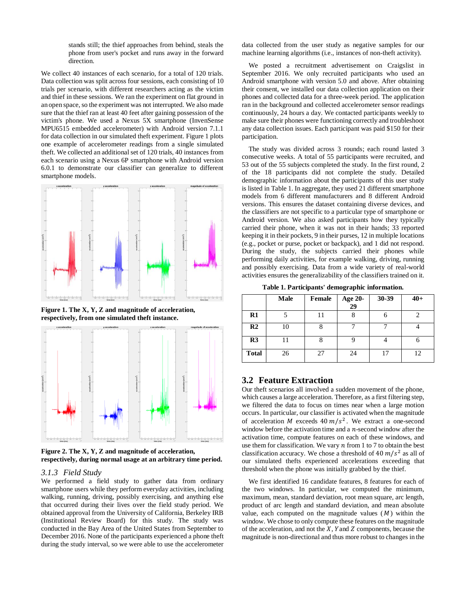stands still; the thief approaches from behind, steals the phone from user's pocket and runs away in the forward direction.

We collect 40 instances of each scenario, for a total of 120 trials. Data collection was split across four sessions, each consisting of 10 trials per scenario, with different researchers acting as the victim and thief in these sessions. We ran the experiment on flat ground in an open space, so the experiment was not interrupted. We also made sure that the thief ran at least 40 feet after gaining possession of the victim's phone. We used a Nexus 5X smartphone (InvenSense MPU6515 embedded accelerometer) with Android version 7.1.1 for data collection in our simulated theft experiment. Figure 1 plots one example of accelerometer readings from a single simulated theft. We collected an additional set of 120 trials, 40 instances from each scenario using a Nexus 6P smartphone with Android version 6.0.1 to demonstrate our classifier can generalize to different smartphone models.



**Figure 1. The X, Y, Z and magnitude of acceleration, respectively, from one simulated theft instance.**



**Figure 2. The X, Y, Z and magnitude of acceleration, respectively, during normal usage at an arbitrary time period.**

#### *3.1.3 Field Study*

We performed a field study to gather data from ordinary smartphone users while they perform everyday activities, including walking, running, driving, possibly exercising, and anything else that occurred during their lives over the field study period. We obtained approval from the University of California, Berkeley IRB (Institutional Review Board) for this study. The study was conducted in the Bay Area of the United States from September to December 2016. None of the participants experienced a phone theft during the study interval, so we were able to use the accelerometer data collected from the user study as negative samples for our machine learning algorithms (i.e., instances of non-theft activity).

 We posted a recruitment advertisement on Craigslist in September 2016. We only recruited participants who used an Android smartphone with version 5.0 and above. After obtaining their consent, we installed our data collection application on their phones and collected data for a three-week period. The application ran in the background and collected accelerometer sensor readings continuously, 24 hours a day. We contacted participants weekly to make sure their phones were functioning correctly and troubleshoot any data collection issues. Each participant was paid \$150 for their participation.

The study was divided across 3 rounds; each round lasted 3 consecutive weeks. A total of 55 participants were recruited, and 53 out of the 55 subjects completed the study. In the first round, 2 of the 18 participants did not complete the study. Detailed demographic information about the participants of this user study is listed in Table 1. In aggregate, they used 21 different smartphone models from 6 different manufacturers and 8 different Android versions. This ensures the dataset containing diverse devices, and the classifiers are not specific to a particular type of smartphone or Android version. We also asked participants how they typically carried their phone, when it was not in their hands; 33 reported keeping it in their pockets, 9 in their purses, 12 in multiple locations (e.g., pocket or purse, pocket or backpack), and 1 did not respond. During the study, the subjects carried their phones while performing daily activities, for example walking, driving, running and possibly exercising. Data from a wide variety of real-world activities ensures the generalizability of the classifiers trained on it.

**Table 1. Participants' demographic information.**

|                | Male | Female | <b>Age 20-</b><br>29 | 30-39 | $40+$ |
|----------------|------|--------|----------------------|-------|-------|
| R1             |      | 11     |                      | 6     |       |
| R <sub>2</sub> | 10   | 8      |                      |       |       |
| R3             | 11   | 8      |                      |       | 6     |
| <b>Total</b>   | 26   | 27     | 24                   | 17    | 12    |

# **3.2 Feature Extraction**

Our theft scenarios all involved a sudden movement of the phone, which causes a large acceleration. Therefore, as a first filtering step, we filtered the data to focus on times near when a large motion occurs. In particular, our classifier is activated when the magnitude of acceleration *M* exceeds  $40 \frac{m}{s^2}$ . We extract a one-second window before the activation time and a  $n$ -second window after the activation time, compute features on each of these windows, and use them for classification. We vary  $n$  from 1 to 7 to obtain the best classification accuracy. We chose a threshold of 40  $m/s^2$  as all of our simulated thefts experienced accelerations exceeding that threshold when the phone was initially grabbed by the thief.

 We first identified 16 candidate features, 8 features for each of the two windows. In particular, we computed the minimum, maximum, mean, standard deviation, root mean square, arc length, product of arc length and standard deviation, and mean absolute value, each computed on the magnitude values  $(M)$  within the window. We chose to only compute these features on the magnitude of the acceleration, and not the  $X$ ,  $Y$  and  $Z$  components, because the magnitude is non-directional and thus more robust to changes in the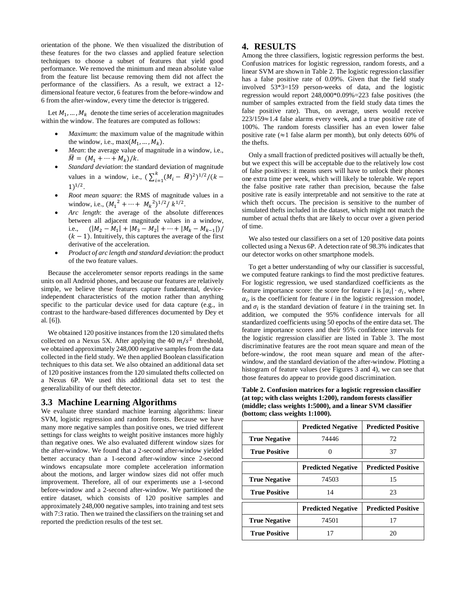orientation of the phone. We then visualized the distribution of these features for the two classes and applied feature selection techniques to choose a subset of features that yield good performance. We removed the minimum and mean absolute value from the feature list because removing them did not affect the performance of the classifiers. As a result, we extract a 12 dimensional feature vector, 6 features from the before-window and 6 from the after-window, every time the detector is triggered.

Let  $M_1, \ldots, M_k$  denote the time series of acceleration magnitudes within the window. The features are computed as follows:

- *Maximum*: the maximum value of the magnitude within the window, i.e.,  $max(M_1, ..., M_k)$ .
- *Mean*: the average value of magnitude in a window, i.e.,  $\overline{M} = (M_1 + \cdots + M_k)/k.$
- *Standard deviation*: the standard deviation of magnitude values in a window, i.e.,  $(\sum_{i=1}^{k} (M_i - \overline{M})^2)$  $_{i=1}^{k}(M_i-\overline{M})^2)^{1/2}/(k-\overline{M})^2$  $1)^{1/2}$ .
- *Root mean square*: the RMS of magnitude values in a window, i.e.,  $(M_1^2 + \cdots + M_k^2)^{1/2} / k^{1/2}$ .
- Arc length: the average of the absolute differences between all adjacent magnitude values in a window, i.e.,  $(|M_2 - M_1| + |M_3 - M_2| + \cdots + |M_k - M_{k-1}|)$ /  $(k - 1)$ . Intuitively, this captures the average of the first derivative of the acceleration.
- *Product of arc length and standard deviation*: the product of the two feature values.

 Because the accelerometer sensor reports readings in the same units on all Android phones, and because our features are relatively simple, we believe these features capture fundamental, deviceindependent characteristics of the motion rather than anything specific to the particular device used for data capture (e.g., in contrast to the hardware-based differences documented by Dey et al. [6]).

 We obtained 120 positive instances from the 120 simulated thefts collected on a Nexus 5X. After applying the  $40 \frac{m}{s^2}$  threshold, we obtained approximately 248,000 negative samples from the data collected in the field study. We then applied Boolean classification techniques to this data set. We also obtained an additional data set of 120 positive instances from the 120 simulated thefts collected on a Nexus 6P. We used this additional data set to test the generalizability of our theft detector.

#### **3.3 Machine Learning Algorithms**

We evaluate three standard machine learning algorithms: linear SVM, logistic regression and random forests. Because we have many more negative samples than positive ones, we tried different settings for class weights to weight positive instances more highly than negative ones. We also evaluated different window sizes for the after-window. We found that a 2-second after-window yielded better accuracy than a 1-second after-window since 2-second windows encapsulate more complete acceleration information about the motions, and larger window sizes did not offer much improvement. Therefore, all of our experiments use a 1-second before-window and a 2-second after-window. We partitioned the entire dataset, which consists of 120 positive samples and approximately 248,000 negative samples, into training and test sets with 7:3 ratio. Then we trained the classifiers on the training set and reported the prediction results of the test set.

#### **4. RESULTS**

Among the three classifiers, logistic regression performs the best. Confusion matrices for logistic regression, random forests, and a linear SVM are shown in Table 2. The logistic regression classifier has a false positive rate of 0.09%. Given that the field study involved 53\*3=159 person-weeks of data, and the logistic regression would report 248,000\*0.09%=223 false positives (the number of samples extracted from the field study data times the false positive rate). Thus, on average, users would receive 223/159≈1.4 false alarms every week, and a true positive rate of 100%. The random forests classifier has an even lower false positive rate ( $\approx$ 1 false alarm per month), but only detects 60% of the thefts.

 Only a small fraction of predicted positives will actually be theft, but we expect this will be acceptable due to the relatively low cost of false positives: it means users will have to unlock their phones one extra time per week, which will likely be tolerable. We report the false positive rate rather than precision, because the false positive rate is easily interpretable and not sensitive to the rate at which theft occurs. The precision is sensitive to the number of simulated thefts included in the dataset, which might not match the number of actual thefts that are likely to occur over a given period of time.

 We also tested our classifiers on a set of 120 positive data points collected using a Nexus 6P. A detection rate of 98.3% indicates that our detector works on other smartphone models.

 To get a better understanding of why our classifier is successful, we computed feature rankings to find the most predictive features. For logistic regression, we used standardized coefficients as the feature importance score: the score for feature *i* is  $|\alpha_i| \cdot \sigma_i$ , where  $\alpha_i$ , is the coefficient for feature  $i$  in the logistic regression model, and  $\sigma_i$  is the standard deviation of feature *i* in the training set. In addition, we computed the 95% confidence intervals for all standardized coefficients using 50 epochs of the entire data set. The feature importance scores and their 95% confidence intervals for the logistic regression classifier are listed in Table 3. The most discriminative features are the root mean square and mean of the before-window, the root mean square and mean of the afterwindow, and the standard deviation of the after-window. Plotting a histogram of feature values (see Figures 3 and 4), we can see that those features do appear to provide good discrimination.

**Table 2. Confusion matrices for a logistic regression classifier (at top; with class weights 1:200), random forests classifier (middle; class weights 1:5000), and a linear SVM classifier (bottom; class weights 1:1000).**

|                      | <b>Predicted Negative</b> | <b>Predicted Positive</b> |
|----------------------|---------------------------|---------------------------|
| <b>True Negative</b> | 74446                     | 72                        |
| <b>True Positive</b> |                           | 37                        |
|                      | <b>Predicted Negative</b> | <b>Predicted Positive</b> |
| <b>True Negative</b> | 74503                     | 15                        |
| <b>True Positive</b> | 14                        | 23                        |
|                      | <b>Predicted Negative</b> | <b>Predicted Positive</b> |
| <b>True Negative</b> | 74501                     | 17                        |
| <b>True Positive</b> | 17                        | 20                        |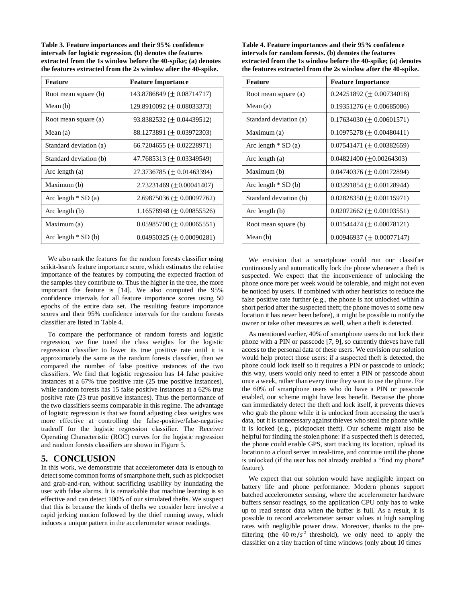**Table 3. Feature importances and their 95% confidence intervals for logistic regression. (b) denotes the features extracted from the 1s window before the 40-spike; (a) denotes the features extracted from the 2s window after the 40-spike.**

| Feature                | <b>Feature Importance</b>                   |  |
|------------------------|---------------------------------------------|--|
| Root mean square (b)   | 143.8786849 (± 0.08714717)                  |  |
| Mean (b)               | $129.8910092 \left( \pm 0.08033373 \right)$ |  |
| Root mean square (a)   | 93.8382532 ( $\pm$ 0.04439512)              |  |
| Mean $(a)$             | 88.1273891 ( $\pm$ 0.03972303)              |  |
| Standard deviation (a) | $66.7204655$ ( $\pm$ 0.02228971)            |  |
| Standard deviation (b) | $47.7685313 \ (\pm 0.03349549)$             |  |
| Arc length (a)         | 27.3736785 ( $\pm$ 0.01463394)              |  |
| Maximum (b)            | $2.73231469 \left( \pm 0.00041407 \right)$  |  |
| Arc length $*$ SD (a)  | $2.69875036 \left( \pm 0.00097762 \right)$  |  |
| Arc length (b)         | $1.16578948 \left( \pm 0.00855526 \right)$  |  |
| Maximum (a)            | $0.05985700 \ (\pm 0.00065551)$             |  |
| Arc length $*$ SD (b)  | $0.04950325 \left( \pm 0.00090281 \right)$  |  |

 We also rank the features for the random forests classifier using scikit-learn's feature importance score, which estimates the relative importance of the features by computing the expected fraction of the samples they contribute to. Thus the higher in the tree, the more important the feature is [14]. We also computed the 95% confidence intervals for all feature importance scores using 50 epochs of the entire data set. The resulting feature importance scores and their 95% confidence intervals for the random forests classifier are listed in Table 4.

 To compare the performance of random forests and logistic regression, we fine tuned the class weights for the logistic regression classifier to lower its true positive rate until it is approximately the same as the random forests classifier, then we compared the number of false positive instances of the two classifiers. We find that logistic regression has 14 false positive instances at a 67% true positive rate (25 true positive instances), while random forests has 15 false positive instances at a 62% true positive rate (23 true positive instances). Thus the performance of the two classifiers seems comparable in this regime. The advantage of logistic regression is that we found adjusting class weights was more effective at controlling the false-positive/false-negative tradeoff for the logistic regression classifier. The Receiver Operating Characteristic (ROC) curves for the logistic regression and random forests classifiers are shown in Figure 5.

# **5. CONCLUSION**

In this work, we demonstrate that accelerometer data is enough to detect some common forms of smartphone theft, such as pickpocket and grab-and-run, without sacrificing usability by inundating the user with false alarms. It is remarkable that machine learning is so effective and can detect 100% of our simulated thefts. We suspect that this is because the kinds of thefts we consider here involve a rapid jerking motion followed by the thief running away, which induces a unique pattern in the accelerometer sensor readings.

**Table 4. Feature importances and their 95% confidence intervals for random forests. (b) denotes the features extracted from the 1s window before the 40-spike; (a) denotes the features extracted from the 2s window after the 40-spike.**

| <b>Feature</b>         | <b>Feature Importance</b>                  |  |
|------------------------|--------------------------------------------|--|
| Root mean square (a)   | $0.24251892 \ (\pm 0.00734018)$            |  |
| Mean $(a)$             | $0.19351276 \left( \pm 0.00685086 \right)$ |  |
| Standard deviation (a) | $0.17634030 \left( \pm 0.00601571 \right)$ |  |
| Maximum (a)            | $0.10975278 \left( \pm 0.00480411 \right)$ |  |
| Arc length $*$ SD (a)  | $0.07541471 (\pm 0.00382659)$              |  |
| Arc length (a)         | $0.04821400 (+0.00264303)$                 |  |
| Maximum (b)            | $0.04740376 \, (\pm 0.00172894)$           |  |
| Arc length $*$ SD (b)  | $0.03291854 \left( \pm 0.00128944 \right)$ |  |
| Standard deviation (b) | $0.02828350 \left( \pm 0.00115971 \right)$ |  |
| Arc length (b)         | $0.02072662 \left( \pm 0.00103551 \right)$ |  |
| Root mean square (b)   | $0.01544474 \left( \pm 0.00078121 \right)$ |  |
| Mean (b)               | $0.00946937 \left( \pm 0.00077147 \right)$ |  |
|                        |                                            |  |

 We envision that a smartphone could run our classifier continuously and automatically lock the phone whenever a theft is suspected. We expect that the inconvenience of unlocking the phone once more per week would be tolerable, and might not even be noticed by users. If combined with other heuristics to reduce the false positive rate further (e.g., the phone is not unlocked within a short period after the suspected theft; the phone moves to some new location it has never been before), it might be possible to notify the owner or take other measures as well, when a theft is detected.

 As mentioned earlier, 40% of smartphone users do not lock their phone with a PIN or passcode [7, 9], so currently thieves have full access to the personal data of these users. We envision our solution would help protect those users: if a suspected theft is detected, the phone could lock itself so it requires a PIN or passcode to unlock; this way, users would only need to enter a PIN or passcode about once a week, rather than every time they want to use the phone. For the 60% of smartphone users who do have a PIN or passcode enabled, our scheme might have less benefit. Because the phone can immediately detect the theft and lock itself, it prevents thieves who grab the phone while it is unlocked from accessing the user's data, but it is unnecessary against thieves who steal the phone while it is locked (e.g., pickpocket theft). Our scheme might also be helpful for finding the stolen phone: if a suspected theft is detected, the phone could enable GPS, start tracking its location, upload its location to a cloud server in real-time, and continue until the phone is unlocked (if the user has not already enabled a "find my phone'' feature).

 We expect that our solution would have negligible impact on battery life and phone performance. Modern phones support batched accelerometer sensing, where the accelerometer hardware buffers sensor readings, so the application CPU only has to wake up to read sensor data when the buffer is full. As a result, it is possible to record accelerometer sensor values at high sampling rates with negligible power draw. Moreover, thanks to the prefiltering (the  $40 \frac{m}{s^2}$  threshold), we only need to apply the classifier on a tiny fraction of time windows (only about 10 times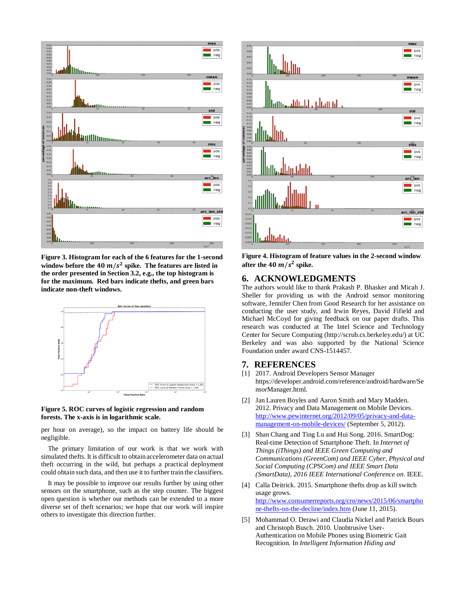

**Figure 3. Histogram for each of the 6 features for the 1-second**  window before the  $40 \, m/s^2$  spike. The features are listed in **the order presented in Section 3.2, e.g., the top histogram is for the maximum. Red bars indicate thefts, and green bars indicate non-theft windows.**



**Figure 5. ROC curves of logistic regression and random forests. The x-axis is in logarithmic scale.**

per hour on average), so the impact on battery life should be negligible.

 The primary limitation of our work is that we work with simulated thefts. It is difficult to obtain accelerometer data on actual theft occurring in the wild, but perhaps a practical deployment could obtain such data, and then use it to further train the classifiers.

 It may be possible to improve our results further by using other sensors on the smartphone, such as the step counter. The biggest open question is whether our methods can be extended to a more diverse set of theft scenarios; we hope that our work will inspire others to investigate this direction further.



**Figure 4. Histogram of feature values in the 2-second window**  after the  $40 \ m/s^2$  spike.

### **6. ACKNOWLEDGMENTS**

The authors would like to thank Prakash P. Bhasker and Micah J. Sheller for providing us with the Android sensor monitoring software, Jennifer Chen from Good Research for her assistance on conducting the user study, and Irwin Reyes, David Fifield and Michael McCoyd for giving feedback on our paper drafts. This research was conducted at The Intel Science and Technology Center for Secure Computing (http://scrub.cs.berkeley.edu/) at UC Berkeley and was also supported by the National Science Foundation under award CNS-1514457.

#### **7. REFERENCES**

- [1] 2017. Android Developers Sensor Manager https://developer.android.com/reference/android/hardware/Se nsorManager.html.
- [2] Jan Lauren Boyles and Aaron Smith and Mary Madden. 2012. Privacy and Data Management on Mobile Devices. [http://www.pewinternet.org/2012/09/05/privacy-and-data](http://www.pewinternet.org/2012/09/05/privacy-and-data-management-on-mobile-devices/)[management-on-mobile-devices/](http://www.pewinternet.org/2012/09/05/privacy-and-data-management-on-mobile-devices/) (September 5, 2012).
- [3] Shan Chang and Ting Lu and Hui Song. 2016. SmartDog: Real-time Detection of Smartphone Theft. In *Internet of Things (iThings) and IEEE Green Computing and Communications (GreenCom) and IEEE Cyber, Physical and Social Computing (CPSCom) and IEEE Smart Data (SmartData), 2016 IEEE International Conference on*. IEEE.
- [4] Calla Deitrick. 2015. Smartphone thefts drop as kill switch usage grows. [http://www.consumerreports.org/cro/news/2015/06/smartpho](http://www.consumerreports.org/cro/news/2015/06/smartphone-thefts-on-the-decline/index.htm) [ne-thefts-on-the-decline/index.htm](http://www.consumerreports.org/cro/news/2015/06/smartphone-thefts-on-the-decline/index.htm) (June 11, 2015).
- [5] Mohammad O. Derawi and Claudia Nickel and Patrick Bours and Christoph Busch. 2010. Unobtrusive User-Authentication on Mobile Phones using Biometric Gait Recognition. In *Intelligent Information Hiding and*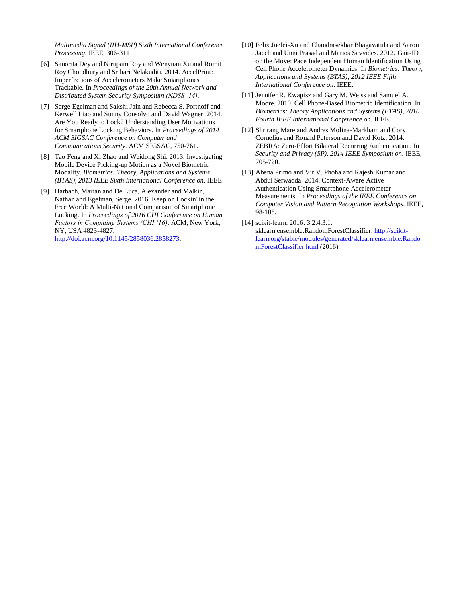*Multimedia Signal (IIH-MSP) Sixth International Conference Processing*. IEEE, 306-311

- [6] Sanorita Dey and Nirupam Roy and Wenyuan Xu and Romit Roy Choudhury and Srihari Nelakuditi. 2014. AccelPrint: Imperfections of Accelerometers Make Smartphones Trackable. In *Proceedings of the 20th Annual Network and Distributed System Security Symposium (NDSS '14)*.
- [7] Serge Egelman and Sakshi Jain and Rebecca S. Portnoff and Kerwell Liao and Sunny Consolvo and David Wagner. 2014. Are You Ready to Lock? Understanding User Motivations for Smartphone Locking Behaviors. In *Proceedings of 2014 ACM SIGSAC Conference on Computer and Communications Security.* ACM SIGSAC, 750-761.
- [8] Tao Feng and Xi Zhao and Weidong Shi. 2013. Investigating Mobile Device Picking-up Motion as a Novel Biometric Modality. *Biometrics: Theory, Applications and Systems (BTAS), 2013 IEEE Sixth International Conference on*. IEEE
- [9] Harbach, Marian and De Luca, Alexander and Malkin, Nathan and Egelman, Serge. 2016. Keep on Lockin' in the Free World: A Multi-National Comparison of Smartphone Locking. In *Proceedings of 2016 CHI Conference on Human Factors in Computing Systems (CHI '16)*. ACM, New York, NY, USA 4823-4827. [http://doi.acm.org/10.1145/2858036.2858273.](http://doi.acm.org/10.1145/2858036.2858273)
- [10] Felix Juefei-Xu and Chandrasekhar Bhagavatula and Aaron Jaech and Unni Prasad and Marios Savvides. 2012. Gait-ID on the Move: Pace Independent Human Identification Using Cell Phone Accelerometer Dynamics. In *Biometrics: Theory, Applications and Systems (BTAS), 2012 IEEE Fifth International Conference on*. IEEE.
- [11] Jennifer R. Kwapisz and Gary M. Weiss and Samuel A. Moore. 2010. Cell Phone-Based Biometric Identification. In *Biometrics: Theory Applications and Systems (BTAS), 2010 Fourth IEEE International Conference on*. IEEE.
- [12] Shrirang Mare and Andres Molina-Markham and Cory Cornelius and Ronald Peterson and David Kotz. 2014. ZEBRA: Zero-Effort Bilateral Recurring Authentication. In *Security and Privacy (SP), 2014 IEEE Symposium on*. IEEE, 705-720.
- [13] Abena Primo and Vir V. Phoha and Rajesh Kumar and Abdul Serwadda. 2014. Context-Aware Active Authentication Using Smartphone Accelerometer Measurements. In *Proceedings of the IEEE Conference on Computer Vision and Pattern Recognition Workshops.* IEEE, 98-105.
- [14] scikit-learn. 2016. 3.2.4.3.1. sklearn.ensemble.RandomForestClassifier. [http://scikit](http://scikit-learn.org/stable/modules/generated/sklearn.ensemble.RandomForestClassifier.html)[learn.org/stable/modules/generated/sklearn.ensemble.Rando](http://scikit-learn.org/stable/modules/generated/sklearn.ensemble.RandomForestClassifier.html) [mForestClassifier.html](http://scikit-learn.org/stable/modules/generated/sklearn.ensemble.RandomForestClassifier.html) (2016).